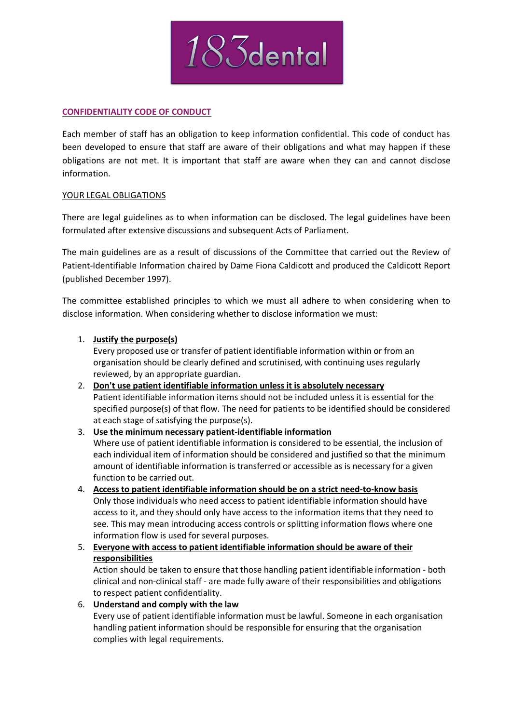

# **CONFIDENTIALITY CODE OF CONDUCT**

Each member of staff has an obligation to keep information confidential. This code of conduct has been developed to ensure that staff are aware of their obligations and what may happen if these obligations are not met. It is important that staff are aware when they can and cannot disclose information.

### YOUR LEGAL OBLIGATIONS

There are legal guidelines as to when information can be disclosed. The legal guidelines have been formulated after extensive discussions and subsequent Acts of Parliament.

The main guidelines are as a result of discussions of the Committee that carried out the Review of Patient-Identifiable Information chaired by Dame Fiona Caldicott and produced the Caldicott Report (published December 1997).

The committee established principles to which we must all adhere to when considering when to disclose information. When considering whether to disclose information we must:

# 1. **Justify the purpose(s)**

Every proposed use or transfer of patient identifiable information within or from an organisation should be clearly defined and scrutinised, with continuing uses regularly reviewed, by an appropriate guardian.

- 2. **Don't use patient identifiable information unless it is absolutely necessary** Patient identifiable information items should not be included unless it is essential for the specified purpose(s) of that flow. The need for patients to be identified should be considered at each stage of satisfying the purpose(s).
- 3. **Use the minimum necessary patient-identifiable information** Where use of patient identifiable information is considered to be essential, the inclusion of each individual item of information should be considered and justified so that the minimum amount of identifiable information is transferred or accessible as is necessary for a given function to be carried out.
- 4. **Access to patient identifiable information should be on a strict need-to-know basis** Only those individuals who need access to patient identifiable information should have access to it, and they should only have access to the information items that they need to see. This may mean introducing access controls or splitting information flows where one information flow is used for several purposes.
- 5. **Everyone with access to patient identifiable information should be aware of their responsibilities**

Action should be taken to ensure that those handling patient identifiable information - both clinical and non-clinical staff - are made fully aware of their responsibilities and obligations to respect patient confidentiality.

6. **Understand and comply with the law**

Every use of patient identifiable information must be lawful. Someone in each organisation handling patient information should be responsible for ensuring that the organisation complies with legal requirements.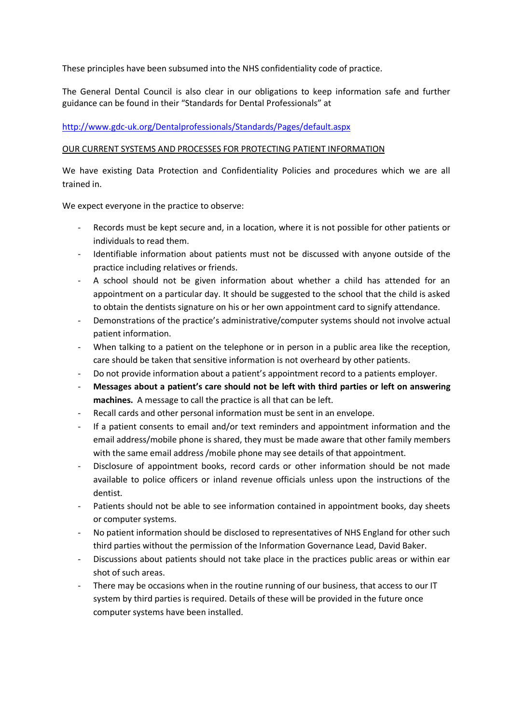These principles have been subsumed into the NHS confidentiality code of practice.

The General Dental Council is also clear in our obligations to keep information safe and further guidance can be found in their "Standards for Dental Professionals" at

http://www.gdc-uk.org/Dentalprofessionals/Standards/Pages/default.aspx

### OUR CURRENT SYSTEMS AND PROCESSES FOR PROTECTING PATIENT INFORMATION

We have existing Data Protection and Confidentiality Policies and procedures which we are all trained in.

We expect everyone in the practice to observe:

- Records must be kept secure and, in a location, where it is not possible for other patients or individuals to read them.
- Identifiable information about patients must not be discussed with anyone outside of the practice including relatives or friends.
- A school should not be given information about whether a child has attended for an appointment on a particular day. It should be suggested to the school that the child is asked to obtain the dentists signature on his or her own appointment card to signify attendance.
- Demonstrations of the practice's administrative/computer systems should not involve actual patient information.
- When talking to a patient on the telephone or in person in a public area like the reception, care should be taken that sensitive information is not overheard by other patients.
- Do not provide information about a patient's appointment record to a patients employer.
- **Messages about a patient's care should not be left with third parties or left on answering machines.** A message to call the practice is all that can be left.
- Recall cards and other personal information must be sent in an envelope.
- If a patient consents to email and/or text reminders and appointment information and the email address/mobile phone is shared, they must be made aware that other family members with the same email address /mobile phone may see details of that appointment.
- Disclosure of appointment books, record cards or other information should be not made available to police officers or inland revenue officials unless upon the instructions of the dentist.
- Patients should not be able to see information contained in appointment books, day sheets or computer systems.
- No patient information should be disclosed to representatives of NHS England for other such third parties without the permission of the Information Governance Lead, David Baker.
- Discussions about patients should not take place in the practices public areas or within ear shot of such areas.
- There may be occasions when in the routine running of our business, that access to our IT system by third parties is required. Details of these will be provided in the future once computer systems have been installed.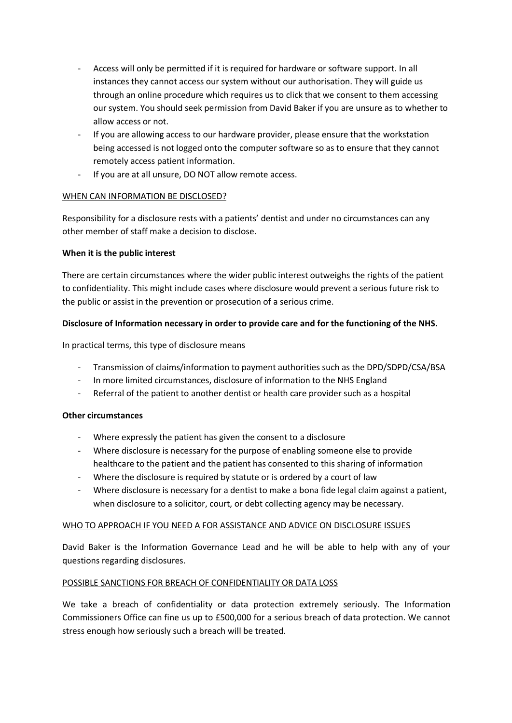- Access will only be permitted if it is required for hardware or software support. In all instances they cannot access our system without our authorisation. They will guide us through an online procedure which requires us to click that we consent to them accessing our system. You should seek permission from David Baker if you are unsure as to whether to allow access or not.
- If you are allowing access to our hardware provider, please ensure that the workstation being accessed is not logged onto the computer software so as to ensure that they cannot remotely access patient information.
- If you are at all unsure, DO NOT allow remote access.

# WHEN CAN INFORMATION BE DISCLOSED?

Responsibility for a disclosure rests with a patients' dentist and under no circumstances can any other member of staff make a decision to disclose.

### **When it is the public interest**

There are certain circumstances where the wider public interest outweighs the rights of the patient to confidentiality. This might include cases where disclosure would prevent a serious future risk to the public or assist in the prevention or prosecution of a serious crime.

# **Disclosure of Information necessary in order to provide care and for the functioning of the NHS.**

In practical terms, this type of disclosure means

- Transmission of claims/information to payment authorities such as the DPD/SDPD/CSA/BSA
- In more limited circumstances, disclosure of information to the NHS England
- Referral of the patient to another dentist or health care provider such as a hospital

### **Other circumstances**

- Where expressly the patient has given the consent to a disclosure
- Where disclosure is necessary for the purpose of enabling someone else to provide healthcare to the patient and the patient has consented to this sharing of information
- Where the disclosure is required by statute or is ordered by a court of law
- Where disclosure is necessary for a dentist to make a bona fide legal claim against a patient, when disclosure to a solicitor, court, or debt collecting agency may be necessary.

### WHO TO APPROACH IF YOU NEED A FOR ASSISTANCE AND ADVICE ON DISCLOSURE ISSUES

David Baker is the Information Governance Lead and he will be able to help with any of your questions regarding disclosures.

### POSSIBLE SANCTIONS FOR BREACH OF CONFIDENTIALITY OR DATA LOSS

We take a breach of confidentiality or data protection extremely seriously. The Information Commissioners Office can fine us up to £500,000 for a serious breach of data protection. We cannot stress enough how seriously such a breach will be treated.